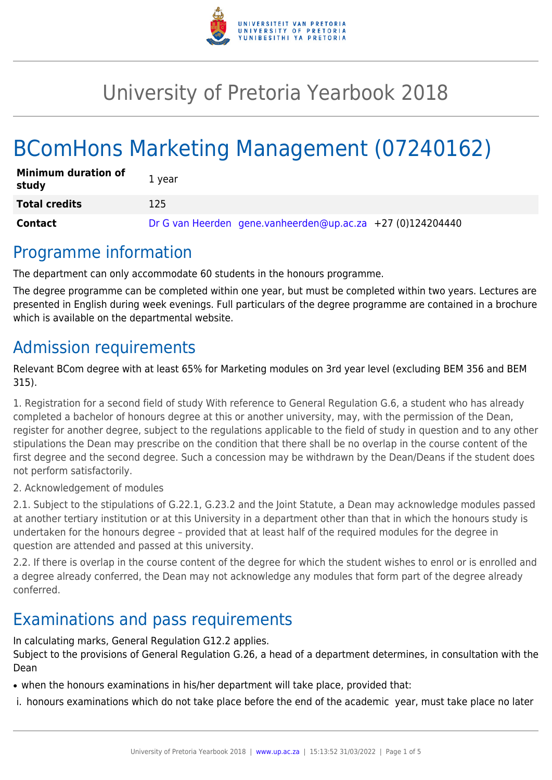

## University of Pretoria Yearbook 2018

# BComHons Marketing Management (07240162)

| <b>Minimum duration of</b><br>study | 1 year                                                     |
|-------------------------------------|------------------------------------------------------------|
| <b>Total credits</b>                | 125                                                        |
| Contact                             | Dr G van Heerden gene.vanheerden@up.ac.za +27 (0)124204440 |

### Programme information

The department can only accommodate 60 students in the honours programme.

The degree programme can be completed within one year, but must be completed within two years. Lectures are presented in English during week evenings. Full particulars of the degree programme are contained in a brochure which is available on the departmental website.

### Admission requirements

Relevant BCom degree with at least 65% for Marketing modules on 3rd year level (excluding BEM 356 and BEM 315).

1. Registration for a second field of study With reference to General Regulation G.6, a student who has already completed a bachelor of honours degree at this or another university, may, with the permission of the Dean, register for another degree, subject to the regulations applicable to the field of study in question and to any other stipulations the Dean may prescribe on the condition that there shall be no overlap in the course content of the first degree and the second degree. Such a concession may be withdrawn by the Dean/Deans if the student does not perform satisfactorily.

2. Acknowledgement of modules

2.1. Subject to the stipulations of G.22.1, G.23.2 and the Joint Statute, a Dean may acknowledge modules passed at another tertiary institution or at this University in a department other than that in which the honours study is undertaken for the honours degree – provided that at least half of the required modules for the degree in question are attended and passed at this university.

2.2. If there is overlap in the course content of the degree for which the student wishes to enrol or is enrolled and a degree already conferred, the Dean may not acknowledge any modules that form part of the degree already conferred.

## Examinations and pass requirements

In calculating marks, General Regulation G12.2 applies. Subject to the provisions of General Regulation G.26, a head of a department determines, in consultation with the Dean

• when the honours examinations in his/her department will take place, provided that:

i. honours examinations which do not take place before the end of the academic year, must take place no later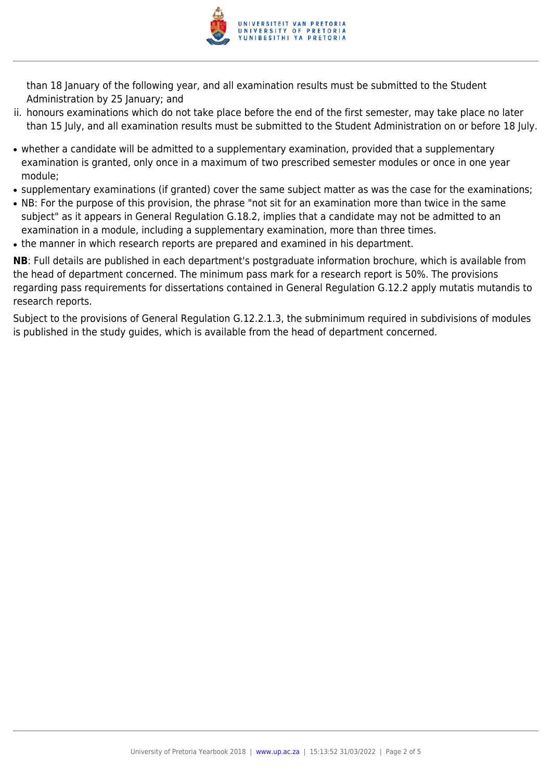

than 18 January of the following year, and all examination results must be submitted to the Student Administration by 25 January; and

- ii. honours examinations which do not take place before the end of the first semester, may take place no later than 15 July, and all examination results must be submitted to the Student Administration on or before 18 July.
- whether a candidate will be admitted to a supplementary examination, provided that a supplementary examination is granted, only once in a maximum of two prescribed semester modules or once in one year module;
- supplementary examinations (if granted) cover the same subject matter as was the case for the examinations;
- NB: For the purpose of this provision, the phrase "not sit for an examination more than twice in the same subject" as it appears in General Regulation G.18.2, implies that a candidate may not be admitted to an examination in a module, including a supplementary examination, more than three times.
- the manner in which research reports are prepared and examined in his department.

**NB**: Full details are published in each department's postgraduate information brochure, which is available from the head of department concerned. The minimum pass mark for a research report is 50%. The provisions regarding pass requirements for dissertations contained in General Regulation G.12.2 apply mutatis mutandis to research reports.

Subject to the provisions of General Regulation G.12.2.1.3, the subminimum required in subdivisions of modules is published in the study guides, which is available from the head of department concerned.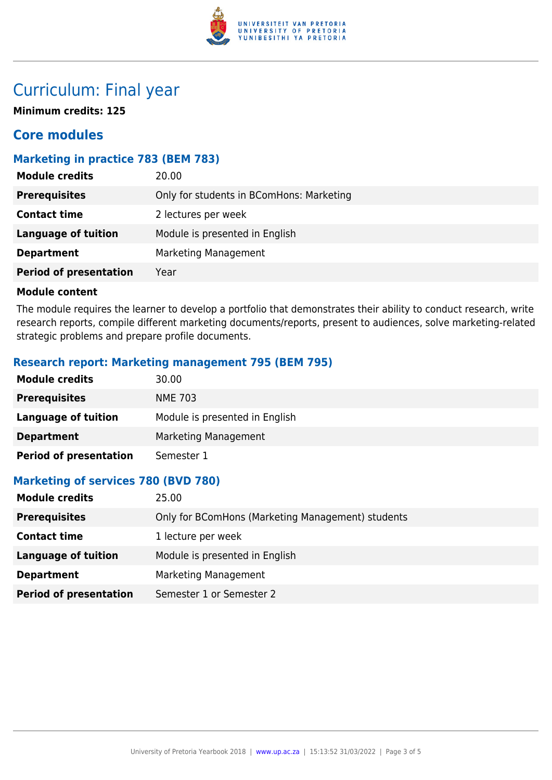

### Curriculum: Final year

**Minimum credits: 125**

### **Core modules**

#### **Marketing in practice 783 (BEM 783)**

| Only for students in BComHons: Marketing<br><b>Prerequisites</b><br><b>Contact time</b><br>2 lectures per week | <b>Module credits</b> | 20.00                          |
|----------------------------------------------------------------------------------------------------------------|-----------------------|--------------------------------|
|                                                                                                                |                       |                                |
|                                                                                                                |                       |                                |
|                                                                                                                | Language of tuition   | Module is presented in English |
| Marketing Management<br><b>Department</b>                                                                      |                       |                                |
| <b>Period of presentation</b><br>Year                                                                          |                       |                                |

#### **Module content**

The module requires the learner to develop a portfolio that demonstrates their ability to conduct research, write research reports, compile different marketing documents/reports, present to audiences, solve marketing-related strategic problems and prepare profile documents.

#### **Research report: Marketing management 795 (BEM 795)**

| <b>Module credits</b>         | 30.00                          |
|-------------------------------|--------------------------------|
| <b>Prerequisites</b>          | <b>NME 703</b>                 |
| <b>Language of tuition</b>    | Module is presented in English |
| <b>Department</b>             | Marketing Management           |
| <b>Period of presentation</b> | Semester 1                     |

#### **Marketing of services 780 (BVD 780)**

| <b>Module credits</b>         | 25.00                                             |
|-------------------------------|---------------------------------------------------|
| <b>Prerequisites</b>          | Only for BComHons (Marketing Management) students |
| <b>Contact time</b>           | 1 lecture per week                                |
| Language of tuition           | Module is presented in English                    |
| <b>Department</b>             | Marketing Management                              |
| <b>Period of presentation</b> | Semester 1 or Semester 2                          |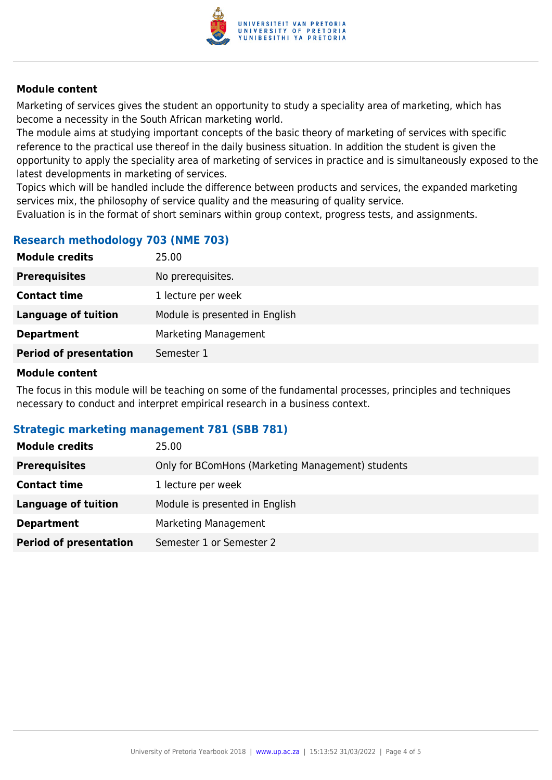

#### **Module content**

Marketing of services gives the student an opportunity to study a speciality area of marketing, which has become a necessity in the South African marketing world.

The module aims at studying important concepts of the basic theory of marketing of services with specific reference to the practical use thereof in the daily business situation. In addition the student is given the opportunity to apply the speciality area of marketing of services in practice and is simultaneously exposed to the latest developments in marketing of services.

Topics which will be handled include the difference between products and services, the expanded marketing services mix, the philosophy of service quality and the measuring of quality service.

Evaluation is in the format of short seminars within group context, progress tests, and assignments.

#### **Research methodology 703 (NME 703)**

| <b>Module credits</b>         | 25.00                          |
|-------------------------------|--------------------------------|
| <b>Prerequisites</b>          | No prerequisites.              |
| <b>Contact time</b>           | 1 lecture per week             |
| <b>Language of tuition</b>    | Module is presented in English |
| <b>Department</b>             | Marketing Management           |
| <b>Period of presentation</b> | Semester 1                     |
|                               |                                |

#### **Module content**

The focus in this module will be teaching on some of the fundamental processes, principles and techniques necessary to conduct and interpret empirical research in a business context.

#### **Strategic marketing management 781 (SBB 781)**

| <b>Module credits</b>         | 25.00                                             |
|-------------------------------|---------------------------------------------------|
| <b>Prerequisites</b>          | Only for BComHons (Marketing Management) students |
| <b>Contact time</b>           | 1 lecture per week                                |
| Language of tuition           | Module is presented in English                    |
| <b>Department</b>             | Marketing Management                              |
| <b>Period of presentation</b> | Semester 1 or Semester 2                          |